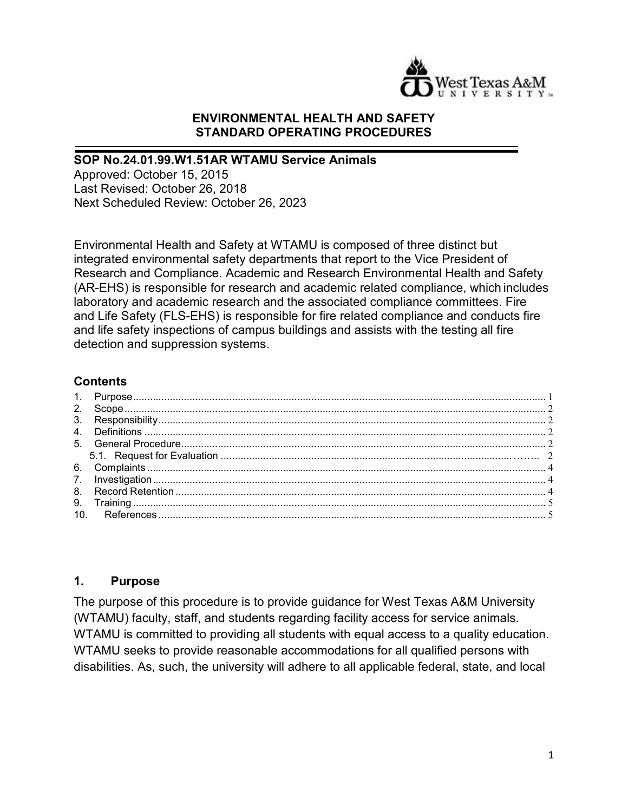

#### **ENVIRONMENTAL HEALTH AND SAFETY STANDARD OPERATING PROCEDURES**

#### **SOP No.24.01.99.W1.51AR WTAMU Service Animals**

Approved: October 15, 2015 Last Revised: October 26, 2018 Next Scheduled Review: October 26, 2023

Environmental Health and Safety at WTAMU is composed of three distinct but integrated environmental safety departments that report to the Vice President of Research and Compliance. Academic and Research Environmental Health and Safety (AR-EHS) is responsible for research and academic related compliance, which includes laboratory and academic research and the associated compliance committees. Fire and Life Safety (FLS-EHS) is responsible for fire related compliance and conducts fire and life safety inspections of campus buildings and assists with the testing all fire detection and suppression systems.

#### **Contents**

#### <span id="page-0-0"></span>**1. Purpose**

The purpose of this procedure is to provide guidance for West Texas A&M University (WTAMU) faculty, staff, and students regarding facility access for service animals. WTAMU is committed to providing all students with equal access to a quality education. WTAMU seeks to provide reasonable accommodations for all qualified persons with disabilities. As, such, the university will adhere to all applicable federal, state, and local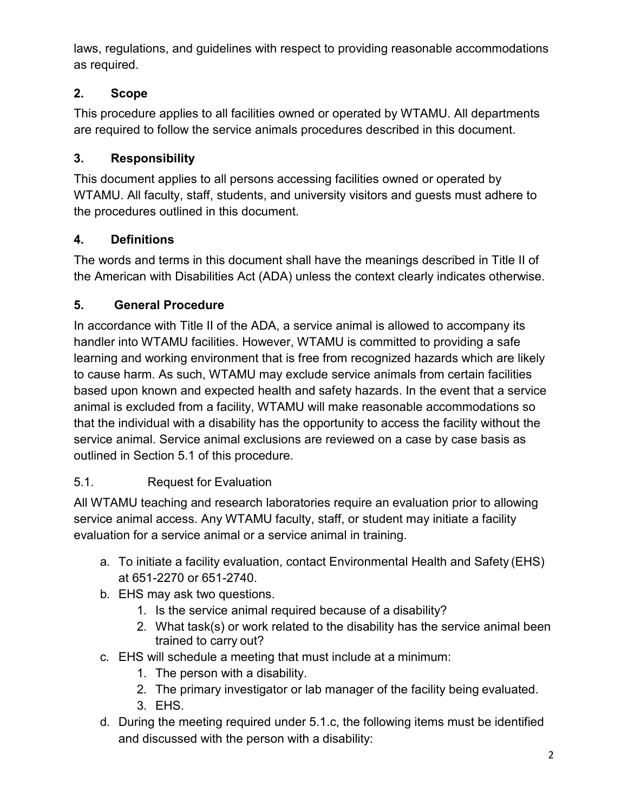laws, regulations, and guidelines with respect to providing reasonable accommodations as required.

# <span id="page-1-0"></span>**2. Scope**

This procedure applies to all facilities owned or operated by WTAMU. All departments are required to follow the service animals procedures described in this document.

# <span id="page-1-1"></span>**3. Responsibility**

This document applies to all persons accessing facilities owned or operated by WTAMU. All faculty, staff, students, and university visitors and guests must adhere to the procedures outlined in this document.

# <span id="page-1-2"></span>**4. Definitions**

The words and terms in this document shall have the meanings described in Title II of the American with Disabilities Act (ADA) unless the context clearly indicates otherwise.

# <span id="page-1-3"></span>**5. General Procedure**

In accordance with Title II of the ADA, a service animal is allowed to accompany its handler into WTAMU facilities. However, WTAMU is committed to providing a safe learning and working environment that is free from recognized hazards which are likely to cause harm. As such, WTAMU may exclude service animals from certain facilities based upon known and expected health and safety hazards. In the event that a service animal is excluded from a facility, WTAMU will make reasonable accommodations so that the individual with a disability has the opportunity to access the facility without the service animal. Service animal exclusions are reviewed on a case by case basis as outlined in Section 5.1 of this procedure.

# <span id="page-1-4"></span>5.1. Request for Evaluation

All WTAMU teaching and research laboratories require an evaluation prior to allowing service animal access. Any WTAMU faculty, staff, or student may initiate a facility evaluation for a service animal or a service animal in training.

- a. To initiate a facility evaluation, contact Environmental Health and Safety (EHS) at 651-2270 or 651-2740.
- b. EHS may ask two questions.
	- 1. Is the service animal required because of a disability?
	- 2. What task(s) or work related to the disability has the service animal been trained to carry out?
- c. EHS will schedule a meeting that must include at a minimum:
	- 1. The person with a disability.
	- 2. The primary investigator or lab manager of the facility being evaluated.
	- 3. EHS.
- d. During the meeting required under 5.1.c, the following items must be identified and discussed with the person with a disability: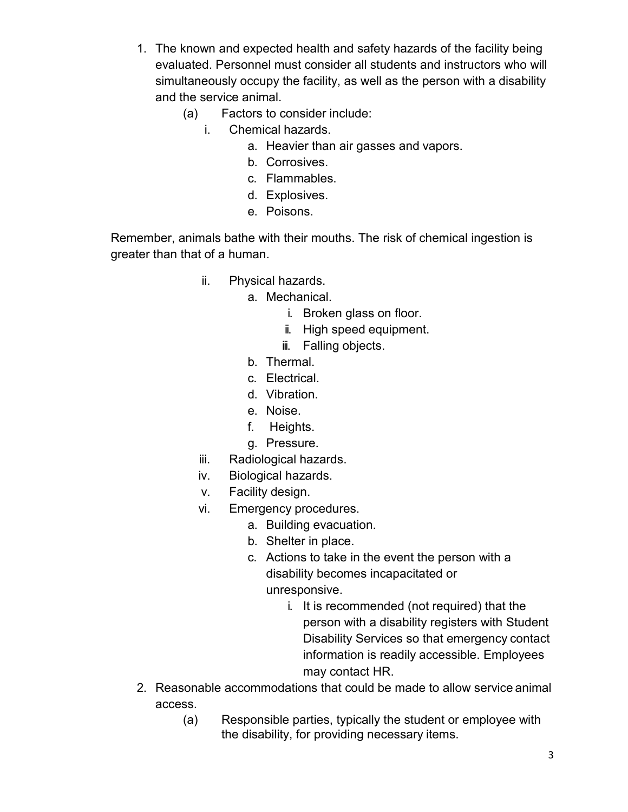- 1. The known and expected health and safety hazards of the facility being evaluated. Personnel must consider all students and instructors who will simultaneously occupy the facility, as well as the person with a disability and the service animal.
	- (a) Factors to consider include:
		- i. Chemical hazards.
			- a. Heavier than air gasses and vapors.
			- b. Corrosives.
			- c. Flammables.
			- d. Explosives.
			- e. Poisons.

Remember, animals bathe with their mouths. The risk of chemical ingestion is greater than that of a human.

- ii. Physical hazards.
	- a. Mechanical.
		- i. Broken glass on floor.
		- ii. High speed equipment.
		- iii. Falling objects.
		- b. Thermal.
		- c. Electrical.
		- d. Vibration.
		- e. Noise.
		- f. Heights.
		- g. Pressure.
- iii. Radiological hazards.
- iv. Biological hazards.
- v. Facility design.
- vi. Emergency procedures.
	- a. Building evacuation.
	- b. Shelter in place.
	- c. Actions to take in the event the person with a disability becomes incapacitated or unresponsive.
		- i. It is recommended (not required) that the person with a disability registers with Student Disability Services so that emergency contact information is readily accessible. Employees may contact HR.
- 2. Reasonable accommodations that could be made to allow service animal access.
	- (a) Responsible parties, typically the student or employee with the disability, for providing necessary items.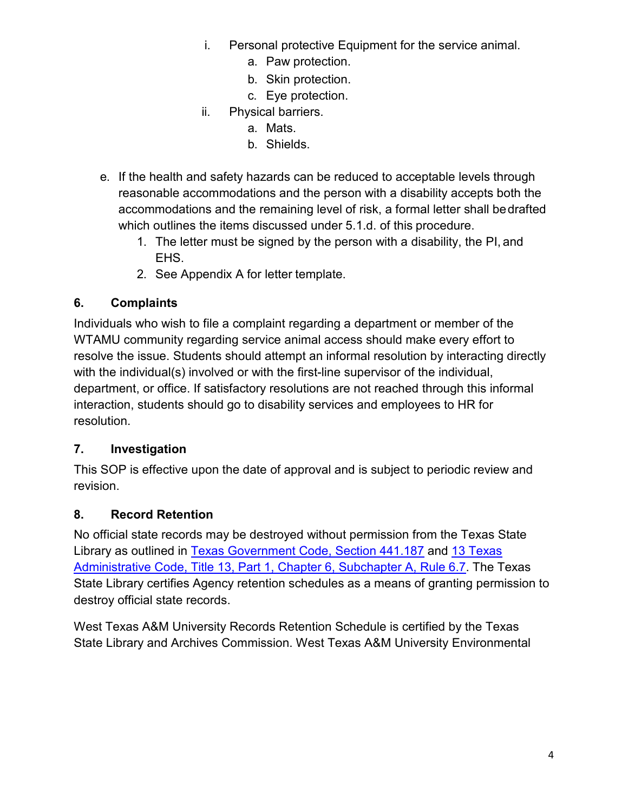- i. Personal protective Equipment for the service animal.
	- a. Paw protection.
	- b. Skin protection.
	- c. Eye protection.
- ii. Physical barriers.
	- a. Mats.
	- b. Shields.
- e. If the health and safety hazards can be reduced to acceptable levels through reasonable accommodations and the person with a disability accepts both the accommodations and the remaining level of risk, a formal letter shall bedrafted which outlines the items discussed under 5.1.d. of this procedure.
	- 1. The letter must be signed by the person with a disability, the PI, and EHS.
	- 2. See Appendix A for letter template.

## <span id="page-3-0"></span>**6. Complaints**

Individuals who wish to file a complaint regarding a department or member of the WTAMU community regarding service animal access should make every effort to resolve the issue. Students should attempt an informal resolution by interacting directly with the individual(s) involved or with the first-line supervisor of the individual, department, or office. If satisfactory resolutions are not reached through this informal interaction, students should go to disability services and employees to HR for resolution.

### <span id="page-3-1"></span>**7. Investigation**

This SOP is effective upon the date of approval and is subject to periodic review and revision.

### <span id="page-3-2"></span>**8. Record Retention**

No official state records may be destroyed without permission from the Texas State Library as outlined in [Texas Government Code, Section 441.187](http://www.statutes.legis.state.tx.us/?link=GV) and [13 Texas](http://info.sos.state.tx.us/pls/pub/readtac%24ext.TacPage?sl=R&app=9&p_dir&p_rloc&p_tloc&p_ploc&pg=1&p_tac&ti=13&pt=1&ch=6&rl=7U) [Administrative Code, Title 13, Part 1, Chapter 6, Subchapter A, Rule 6.7.](http://info.sos.state.tx.us/pls/pub/readtac%24ext.TacPage?sl=R&app=9&p_dir&p_rloc&p_tloc&p_ploc&pg=1&p_tac&ti=13&pt=1&ch=6&rl=7U) The Texas State Library certifies Agency retention schedules as a means of granting permission to destroy official state records.

West Texas A&M University Records Retention Schedule is certified by the Texas State Library and Archives Commission. West Texas A&M University Environmental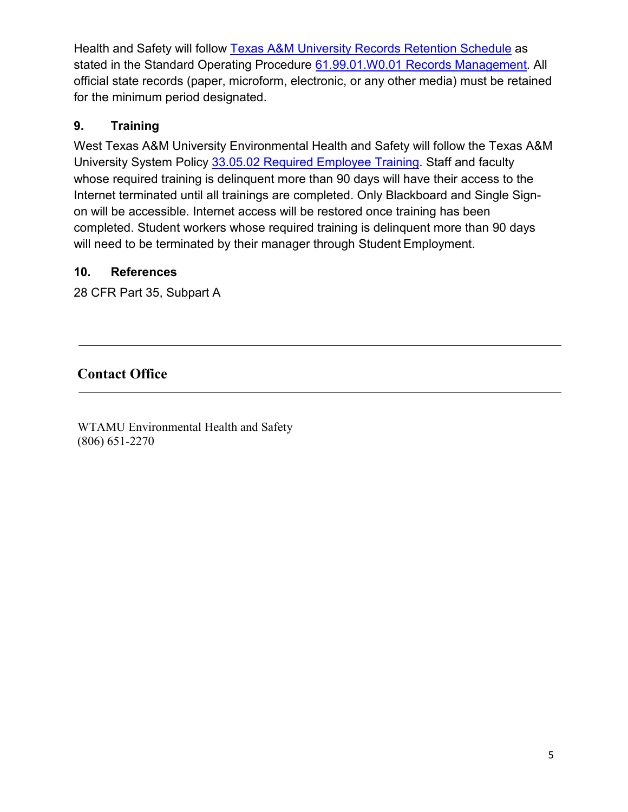Health and Safety will follow [Texas A&M University Records Retention Schedule](http://www.wtamu.edu/webres/File/Risk%20Management/System-Records-Retention-Schedule-Dec2012.pdf) as stated in the Standard Operating Procedure [61.99.01.W0.01 Records Management.](http://www.wtamu.edu/webres/File/Risk%20Management/61.99.01.W0.01_PROCEDURE_Records%20Management_FINAL%20SIGNED.pdf) All official state records (paper, microform, electronic, or any other media) must be retained for the minimum period designated.

## <span id="page-4-0"></span>**9. Training**

West Texas A&M University Environmental Health and Safety will follow the Texas A&M University System Policy [33.05.02 Required Employee Training.](http://policies.tamus.edu/33-05-02.pdf) Staff and faculty whose required training is delinquent more than 90 days will have their access to the Internet terminated until all trainings are completed. Only Blackboard and Single Signon will be accessible. Internet access will be restored once training has been completed. Student workers whose required training is delinquent more than 90 days will need to be terminated by their manager through Student Employment.

### <span id="page-4-1"></span>**10. References**

28 CFR Part 35, Subpart A

# **Contact Office**

WTAMU Environmental Health and Safety (806) 651-2270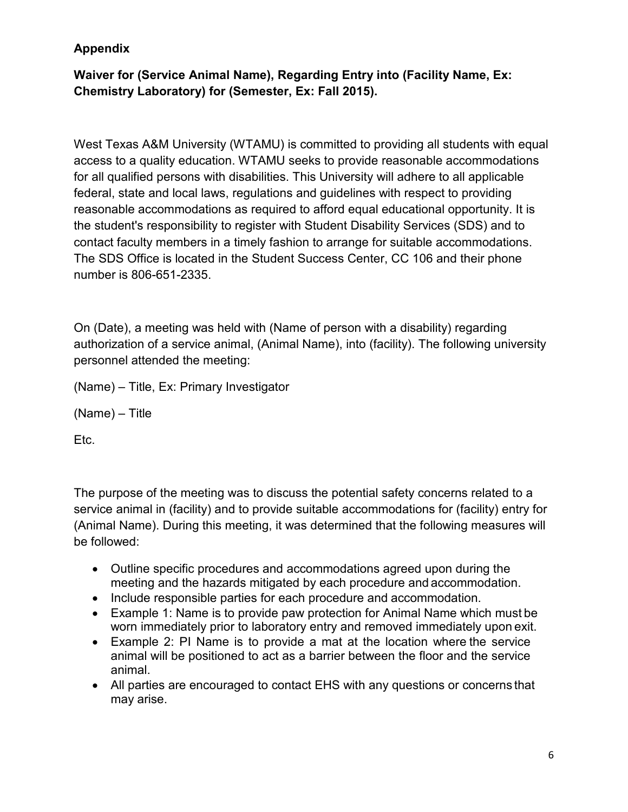## **Appendix**

## **Waiver for (Service Animal Name), Regarding Entry into (Facility Name, Ex: Chemistry Laboratory) for (Semester, Ex: Fall 2015).**

West Texas A&M University (WTAMU) is committed to providing all students with equal access to a quality education. WTAMU seeks to provide reasonable accommodations for all qualified persons with disabilities. This University will adhere to all applicable federal, state and local laws, regulations and guidelines with respect to providing reasonable accommodations as required to afford equal educational opportunity. It is the student's responsibility to register with Student Disability Services (SDS) and to contact faculty members in a timely fashion to arrange for suitable accommodations. The SDS Office is located in the Student Success Center, CC 106 and their phone number is 806-651-2335.

On (Date), a meeting was held with (Name of person with a disability) regarding authorization of a service animal, (Animal Name), into (facility). The following university personnel attended the meeting:

(Name) – Title, Ex: Primary Investigator

(Name) – Title

Etc.

The purpose of the meeting was to discuss the potential safety concerns related to a service animal in (facility) and to provide suitable accommodations for (facility) entry for (Animal Name). During this meeting, it was determined that the following measures will be followed:

- Outline specific procedures and accommodations agreed upon during the meeting and the hazards mitigated by each procedure and accommodation.
- Include responsible parties for each procedure and accommodation.
- Example 1: Name is to provide paw protection for Animal Name which must be worn immediately prior to laboratory entry and removed immediately upon exit.
- Example 2: PI Name is to provide a mat at the location where the service animal will be positioned to act as a barrier between the floor and the service animal.
- All parties are encouraged to contact EHS with any questions or concerns that may arise.